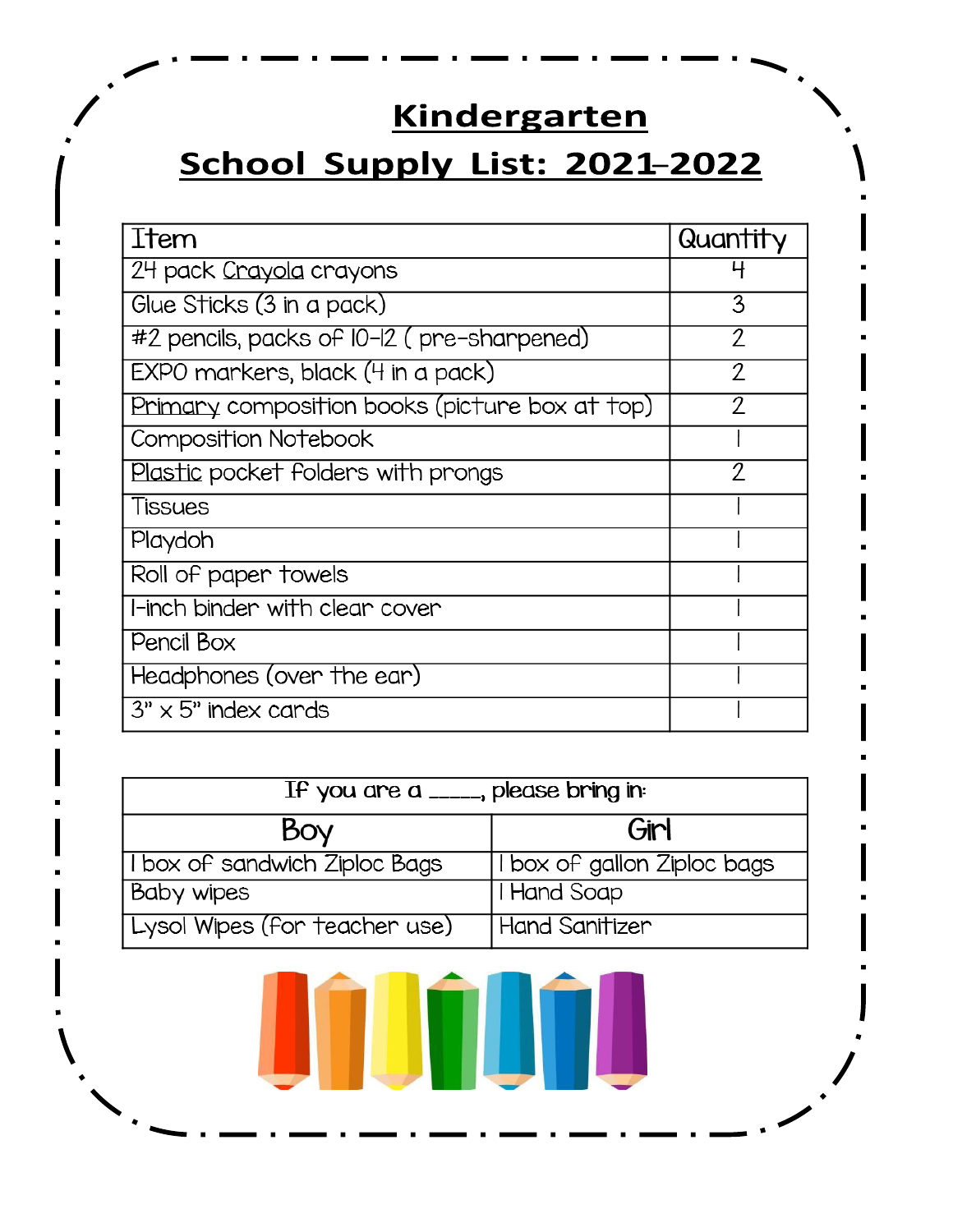# **Kindergarten**

# School Supply List: 2021-2022

| Item                                           | Quantity |
|------------------------------------------------|----------|
| 24 pack Crayola crayons                        |          |
| Glue Sticks (3 in a pack)                      | 3        |
| #2 pencils, packs of I0-I2 (pre-sharpened)     | 2        |
| EXPO markers, black (4 in a pack)              | 2        |
| Primary composition books (picture box at top) | 2        |
| Composition Notebook                           |          |
| Plastic pocket folders with prongs             | 2        |
| Tissues                                        |          |
| Playdoh                                        |          |
| Roll of paper towels                           |          |
| l l-inch binder with clear cover               |          |
| Pencil Box                                     |          |
| Headphones (over the ear)                      |          |
| $3" \times 5"$ index cards                     |          |

| If you are a $\frac{1}{2}$ , please bring in |                             |  |
|----------------------------------------------|-----------------------------|--|
| Boy                                          | Girl                        |  |
| I box of sandwich Ziploc Bags                | I box of gallon Ziploc bags |  |
| <b>Baby wipes</b>                            | I Hand Soap                 |  |
| Lysol Wipes (for teacher use)                | Hand Sanitizer              |  |

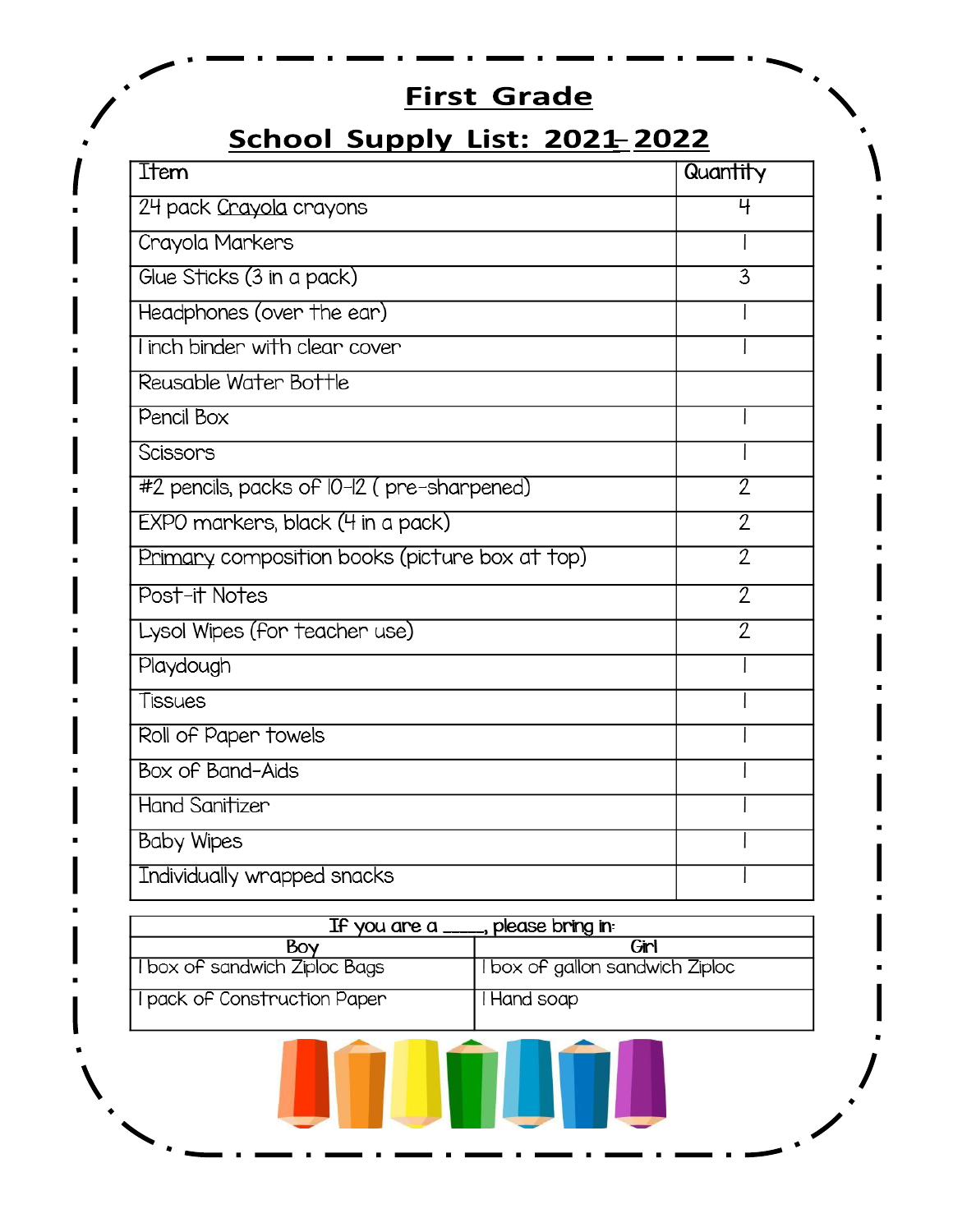## **First Grade**

## School Supply List: 2021-2022

| Ttem                                           | Quantity            |
|------------------------------------------------|---------------------|
| 24 pack Crayola crayons                        | 4                   |
| Crayola Markers                                |                     |
| Glue Sticks (3 in a pack)                      | 3                   |
| Headphones (over the ear)                      |                     |
| I inch binder with clear cover                 |                     |
| Reusable Water Bottle                          |                     |
| Pencil Box                                     |                     |
| Scissons                                       |                     |
| #2 pencils, packs of I0-I2 (pre-sharpened)     | 2                   |
| EXPO markers, black (4 in a pack)              | $\overline{2}$      |
| Primary composition books (picture box at top) | $\overline{2}$      |
| Post-it Notes                                  | $\overline{\gamma}$ |
| Lysol Wipes (for teacher use)                  | 2                   |
| Playdough                                      |                     |
| Tissues                                        |                     |
| Roll of Paper towels                           |                     |
| Box of Band-Aids                               |                     |
| <b>Hand Sanitizer</b>                          |                     |
| <b>Baby Wipes</b>                              |                     |
| Individually wrapped snacks                    |                     |

| If you are a $-$<br>____, please bring in: |                                 |
|--------------------------------------------|---------------------------------|
| Bov                                        | Girl                            |
| I box of sandwich Ziploc Bags              | I box of gallon sandwich Ziploc |
| I pack of Construction Paper               | I Hand soap                     |

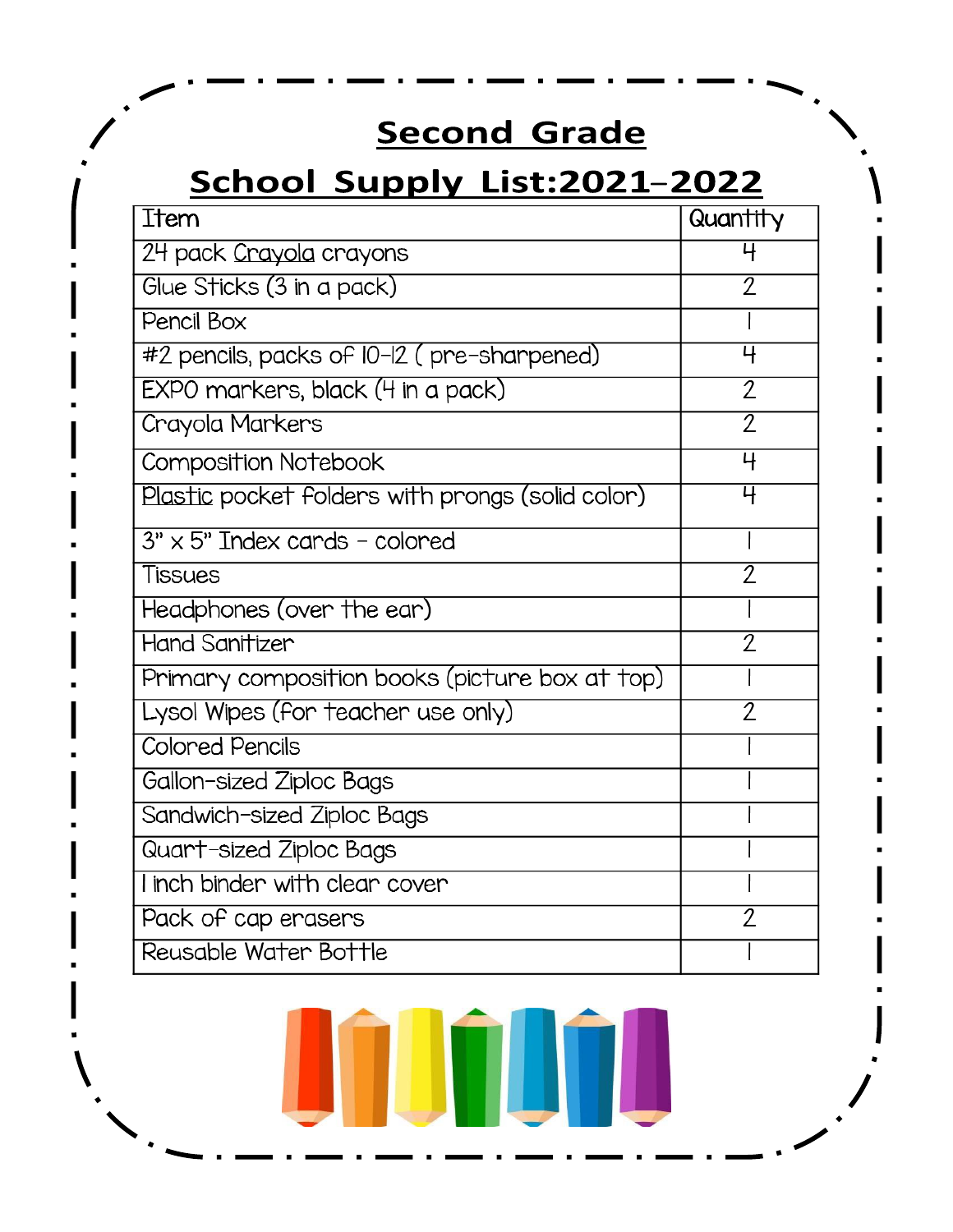# **Second Grade**

## School Supply List:2021-2022

| Item                                             | Quantity            |
|--------------------------------------------------|---------------------|
| 24 pack Crayola crayons                          | 4                   |
| Glue Sticks (3 in a pack)                        | 7                   |
| Pencil Box                                       |                     |
| #2 pencils, packs of I0-I2 (pre-sharpened)       | 4                   |
| EXPO markers, black (4 in a pack)                | $\overline{2}$      |
| Crayola Markers                                  | $\overline{2}$      |
| Composition Notebook                             | 4                   |
| Plastic pocket folders with prongs (solid color) | 4                   |
| $3" \times 5"$ Index cards - colored             |                     |
| Tissues                                          | $\overline{2}$      |
| Headphones (over the ear)                        |                     |
| <b>Hand Sanitizer</b>                            | 2                   |
| Primary composition books (picture box at top)   |                     |
| Lysol Wipes (for teacher use only)               | 2                   |
| <b>Colored Pencils</b>                           |                     |
| Gallon-sized Ziploc Bags                         |                     |
| Sandwich-sized Ziploc Bags                       |                     |
| Quart-sized Ziploc Bags                          |                     |
| I inch binder with clear cover                   |                     |
| Pack of cap erasers                              | $\overline{\gamma}$ |
| Reusable Water Bottle                            |                     |

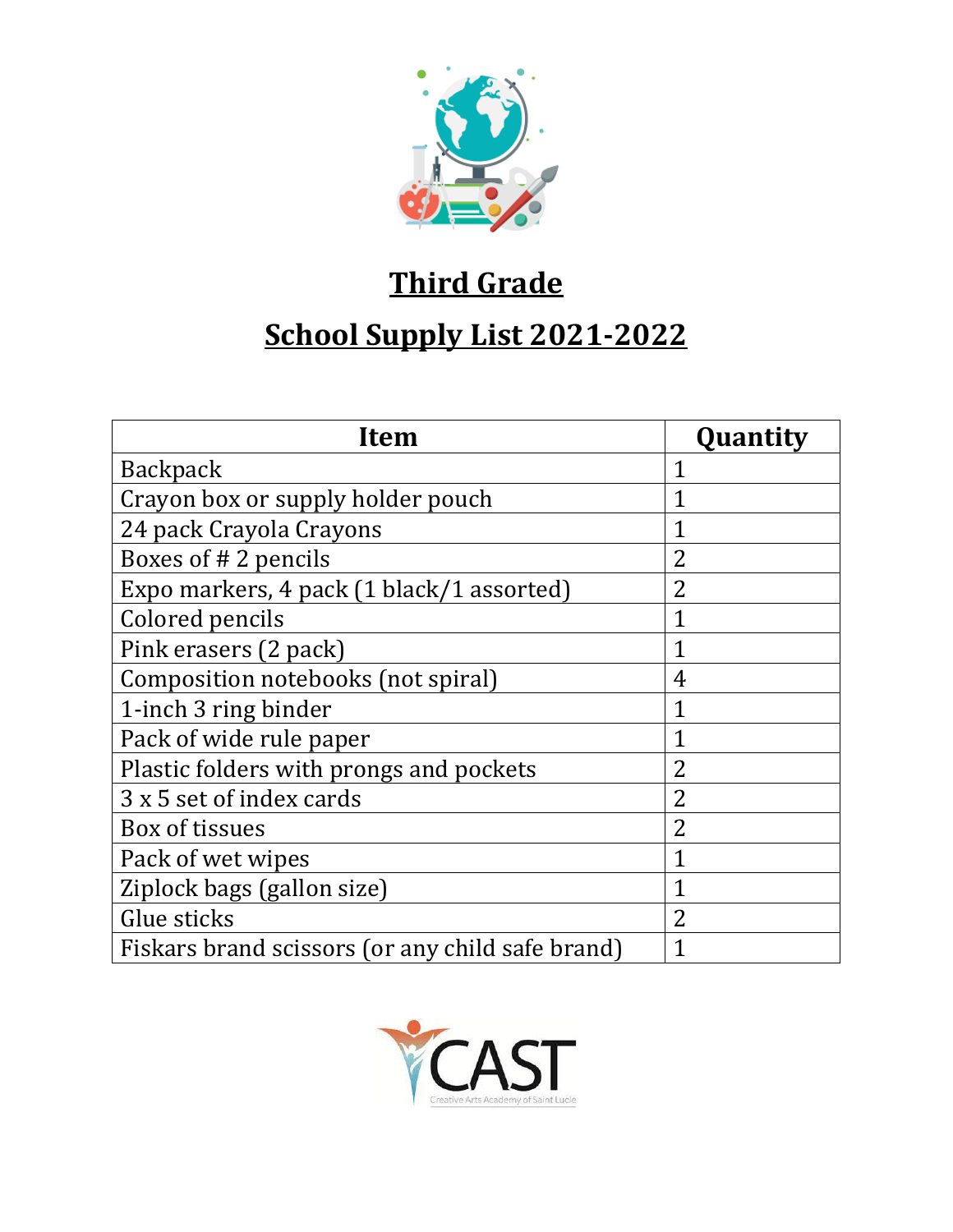

## **Third Grade**

# **School Supply List 2021-2022**

| <b>Item</b>                                      | Quantity       |
|--------------------------------------------------|----------------|
| <b>Backpack</b>                                  |                |
| Crayon box or supply holder pouch                | 1              |
| 24 pack Crayola Crayons                          |                |
| Boxes of #2 pencils                              | $\overline{2}$ |
| Expo markers, 4 pack (1 black/1 assorted)        | $\overline{2}$ |
| Colored pencils                                  | 1              |
| Pink erasers (2 pack)                            | 1              |
| Composition notebooks (not spiral)               | 4              |
| 1-inch 3 ring binder                             | 1              |
| Pack of wide rule paper                          | 1              |
| Plastic folders with prongs and pockets          | $\overline{2}$ |
| 3 x 5 set of index cards                         | $\overline{2}$ |
| Box of tissues                                   | $\overline{2}$ |
| Pack of wet wipes                                | 1              |
| Ziplock bags (gallon size)                       | 1              |
| Glue sticks                                      | $\overline{2}$ |
| Fiskars brand scissors (or any child safe brand) |                |

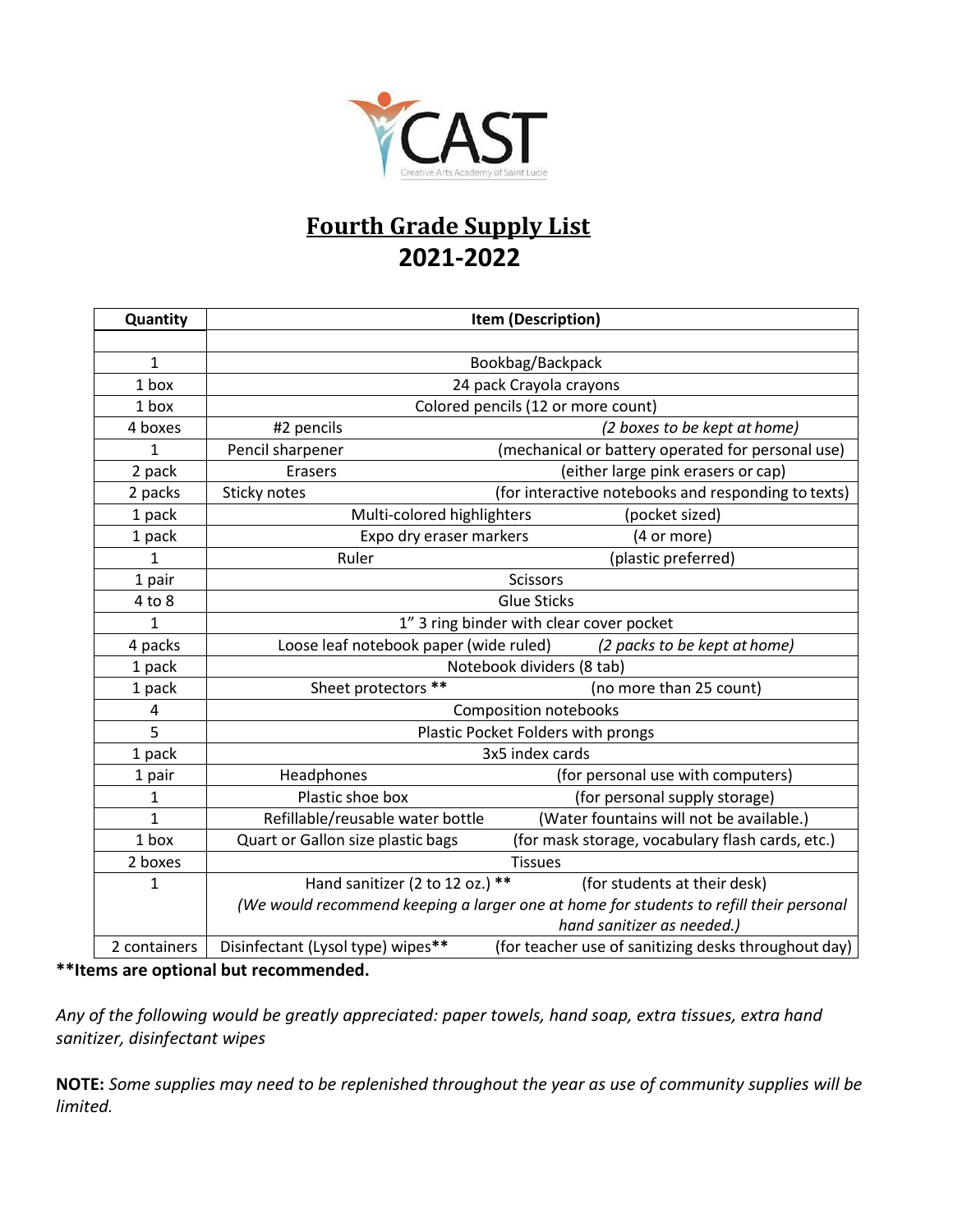

### **Fourth Grade Supply List 2021-2022**

| Quantity       | Item (Description)                                                     |                                                                                        |
|----------------|------------------------------------------------------------------------|----------------------------------------------------------------------------------------|
|                |                                                                        |                                                                                        |
| 1              |                                                                        | Bookbag/Backpack                                                                       |
| 1 box          |                                                                        | 24 pack Crayola crayons                                                                |
| 1 box          |                                                                        | Colored pencils (12 or more count)                                                     |
| 4 boxes        | #2 pencils                                                             | (2 boxes to be kept at home)                                                           |
| 1              | Pencil sharpener                                                       | (mechanical or battery operated for personal use)                                      |
| 2 pack         | <b>Erasers</b>                                                         | (either large pink erasers or cap)                                                     |
| 2 packs        | Sticky notes                                                           | (for interactive notebooks and responding to texts)                                    |
| 1 pack         | Multi-colored highlighters                                             | (pocket sized)                                                                         |
| 1 pack         | Expo dry eraser markers                                                | (4 or more)                                                                            |
| $\mathbf{1}$   | Ruler                                                                  | (plastic preferred)                                                                    |
| 1 pair         | <b>Scissors</b>                                                        |                                                                                        |
| $4$ to $8$     | <b>Glue Sticks</b>                                                     |                                                                                        |
| $\mathbf{1}$   | 1" 3 ring binder with clear cover pocket                               |                                                                                        |
| 4 packs        | Loose leaf notebook paper (wide ruled)<br>(2 packs to be kept at home) |                                                                                        |
| 1 pack         | Notebook dividers (8 tab)                                              |                                                                                        |
| 1 pack         | Sheet protectors **                                                    | (no more than 25 count)                                                                |
| 4              | <b>Composition notebooks</b>                                           |                                                                                        |
| 5              | Plastic Pocket Folders with prongs                                     |                                                                                        |
| 1 pack         | 3x5 index cards                                                        |                                                                                        |
| 1 pair         | Headphones                                                             | (for personal use with computers)                                                      |
| 1              | Plastic shoe box                                                       | (for personal supply storage)                                                          |
| $\overline{1}$ | Refillable/reusable water bottle                                       | (Water fountains will not be available.)                                               |
| 1 box          | Quart or Gallon size plastic bags                                      | (for mask storage, vocabulary flash cards, etc.)                                       |
| 2 boxes        | <b>Tissues</b>                                                         |                                                                                        |
| 1              | Hand sanitizer (2 to 12 oz.) **                                        | (for students at their desk)                                                           |
|                |                                                                        | (We would recommend keeping a larger one at home for students to refill their personal |
|                |                                                                        | hand sanitizer as needed.)                                                             |
| 2 containers   | Disinfectant (Lysol type) wipes**                                      | (for teacher use of sanitizing desks throughout day)                                   |

#### **\*\*Items are optional but recommended.**

*Any of the following would be greatly appreciated: paper towels, hand soap, extra tissues, extra hand sanitizer, disinfectant wipes*

**NOTE:** *Some supplies may need to be replenished throughout the year as use of community supplies will be limited.*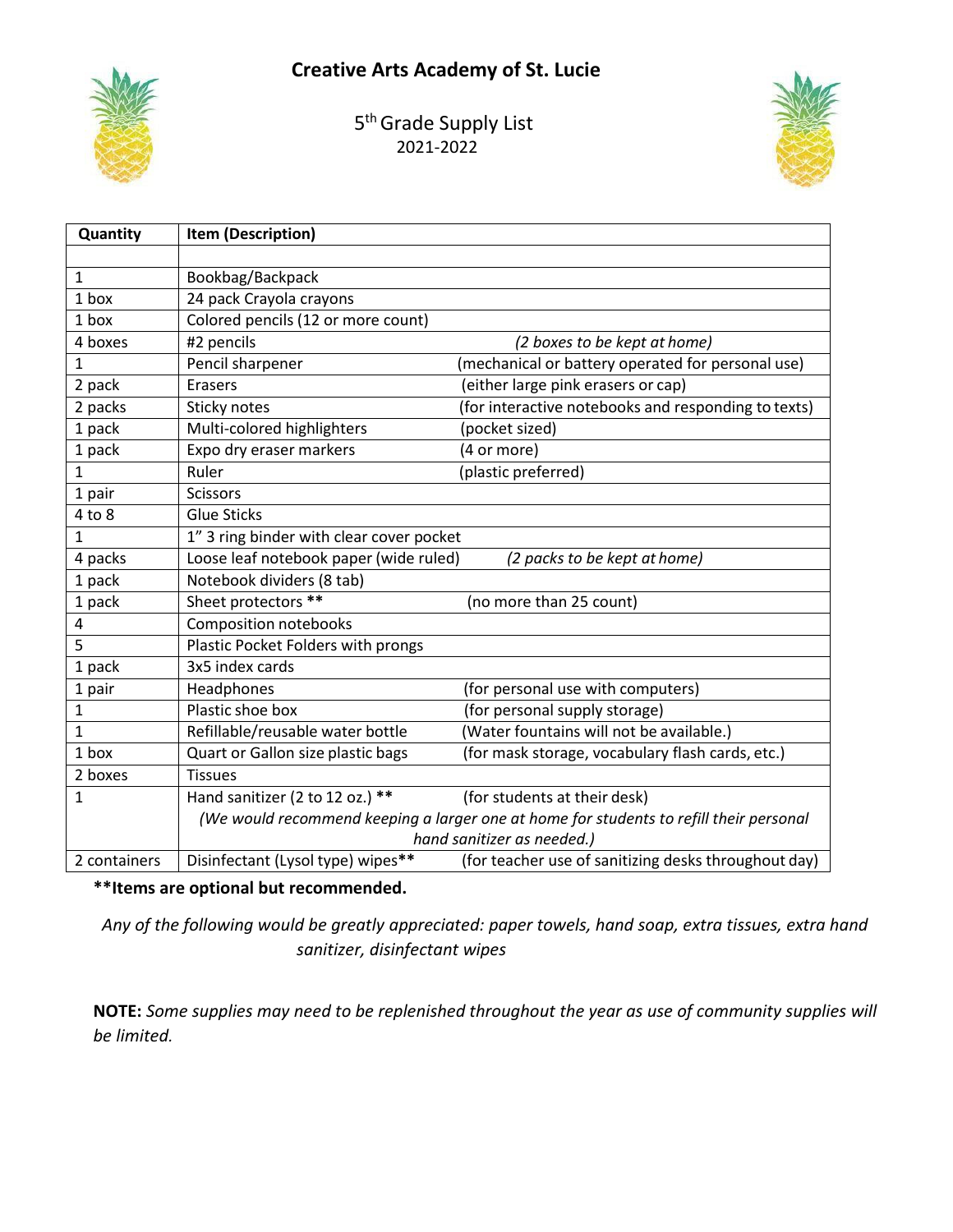### **Creative Arts Academy of St. Lucie**



5<sup>th</sup> Grade Supply List 2021-2022



| Quantity     | Item (Description)                       |                                                                                        |
|--------------|------------------------------------------|----------------------------------------------------------------------------------------|
|              |                                          |                                                                                        |
| 1            | Bookbag/Backpack                         |                                                                                        |
| 1 box        | 24 pack Crayola crayons                  |                                                                                        |
| 1 box        | Colored pencils (12 or more count)       |                                                                                        |
| 4 boxes      | #2 pencils                               | (2 boxes to be kept at home)                                                           |
| $\mathbf{1}$ | Pencil sharpener                         | (mechanical or battery operated for personal use)                                      |
| 2 pack       | <b>Erasers</b>                           | (either large pink erasers or cap)                                                     |
| 2 packs      | Sticky notes                             | (for interactive notebooks and responding to texts)                                    |
| 1 pack       | Multi-colored highlighters               | (pocket sized)                                                                         |
| 1 pack       | Expo dry eraser markers                  | (4 or more)                                                                            |
| 1            | Ruler                                    | (plastic preferred)                                                                    |
| 1 pair       | <b>Scissors</b>                          |                                                                                        |
| $4$ to $8$   | <b>Glue Sticks</b>                       |                                                                                        |
| 1            | 1" 3 ring binder with clear cover pocket |                                                                                        |
| 4 packs      | Loose leaf notebook paper (wide ruled)   | (2 packs to be kept at home)                                                           |
| 1 pack       | Notebook dividers (8 tab)                |                                                                                        |
| 1 pack       | Sheet protectors **                      | (no more than 25 count)                                                                |
| 4            | <b>Composition notebooks</b>             |                                                                                        |
| 5            | Plastic Pocket Folders with prongs       |                                                                                        |
| 1 pack       | 3x5 index cards                          |                                                                                        |
| 1 pair       | Headphones                               | (for personal use with computers)                                                      |
| 1            | Plastic shoe box                         | (for personal supply storage)                                                          |
| 1            | Refillable/reusable water bottle         | (Water fountains will not be available.)                                               |
| 1 box        | Quart or Gallon size plastic bags        | (for mask storage, vocabulary flash cards, etc.)                                       |
| 2 boxes      | <b>Tissues</b>                           |                                                                                        |
| 1            | Hand sanitizer (2 to 12 oz.) **          | (for students at their desk)                                                           |
|              |                                          | (We would recommend keeping a larger one at home for students to refill their personal |
|              |                                          | hand sanitizer as needed.)                                                             |
| 2 containers | Disinfectant (Lysol type) wipes**        | (for teacher use of sanitizing desks throughout day)                                   |

**\*\*Items are optional but recommended.**

*Any of the following would be greatly appreciated: paper towels, hand soap, extra tissues, extra hand sanitizer, disinfectant wipes*

**NOTE:** *Some supplies may need to be replenished throughout the year as use of community supplies will be limited.*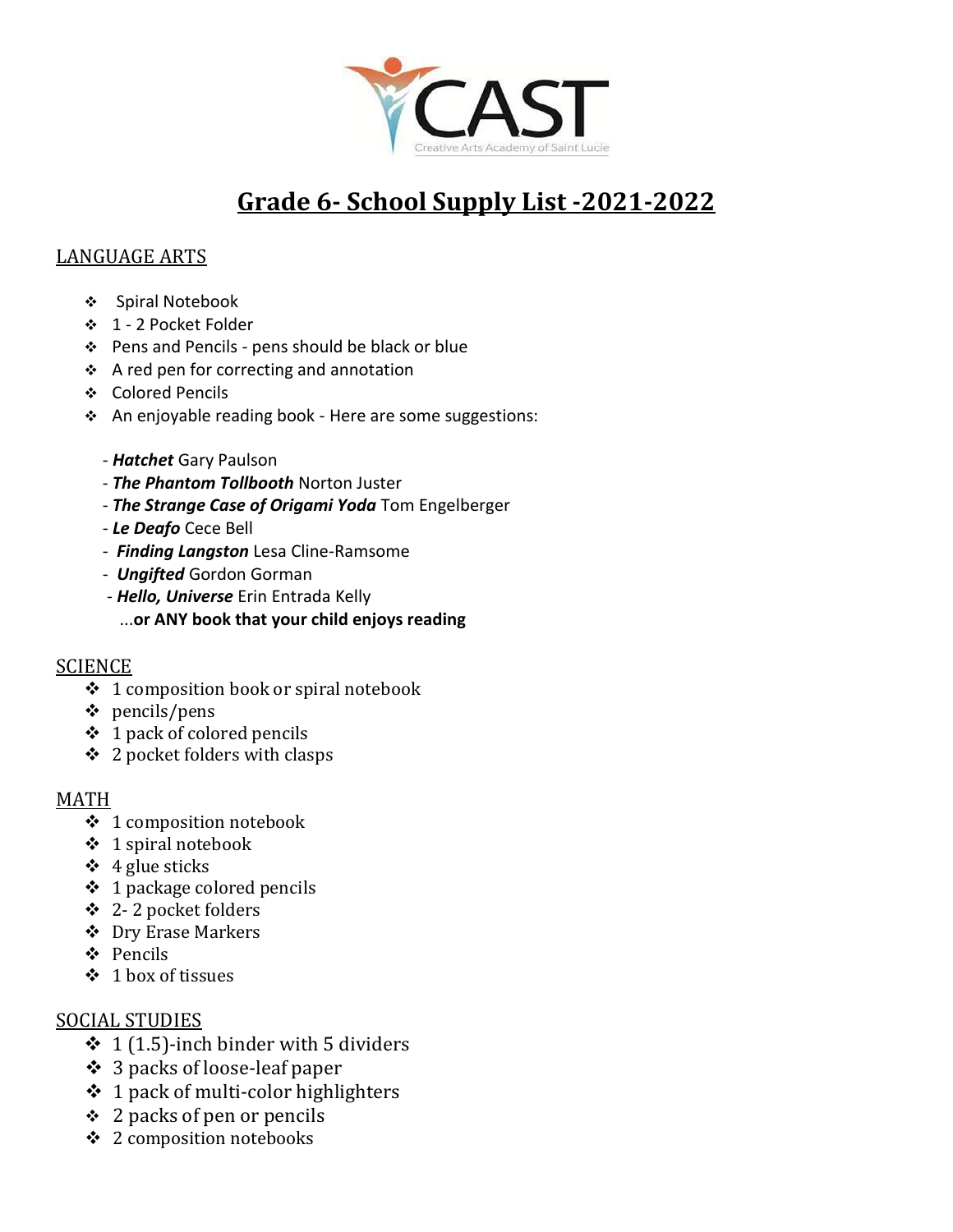

## **Grade 6- School Supply List -2021-2022**

#### LANGUAGE ARTS

- ❖ Spiral Notebook
- ❖ 1 2 Pocket Folder
- ❖ Pens and Pencils pens should be black or blue
- ❖ A red pen for correcting and annotation
- ❖ Colored Pencils
- ❖ An enjoyable reading book Here are some suggestions:
	- *Hatchet* Gary Paulson
	- *The Phantom Tollbooth* Norton Juster
	- *The Strange Case of Origami Yoda* Tom Engelberger
	- *Le Deafo* Cece Bell
	- *Finding Langston* Lesa Cline-Ramsome
	- *Ungifted* Gordon Gorman
	- *Hello, Universe* Erin Entrada Kelly
		- ...**or ANY book that your child enjoys reading**

#### **SCIENCE**

- ❖ 1 composition book or spiral notebook
- ❖ pencils/pens
- ❖ 1 pack of colored pencils
- ❖ 2 pocket folders with clasps

#### MATH

- ❖ 1 composition notebook
- ❖ 1 spiral notebook
- $\div$  4 glue sticks
- $\div$  1 package colored pencils
- ❖ 2- 2 pocket folders
- ❖ Dry Erase Markers
- ❖ Pencils
- ❖ 1 box of tissues

#### SOCIAL STUDIES

- $\div$  1 (1.5)-inch binder with 5 dividers
- ❖ 3 packs of loose-leaf paper
- $\div$  1 pack of multi-color highlighters
- ❖ 2 packs of pen or pencils
- ❖ 2 composition notebooks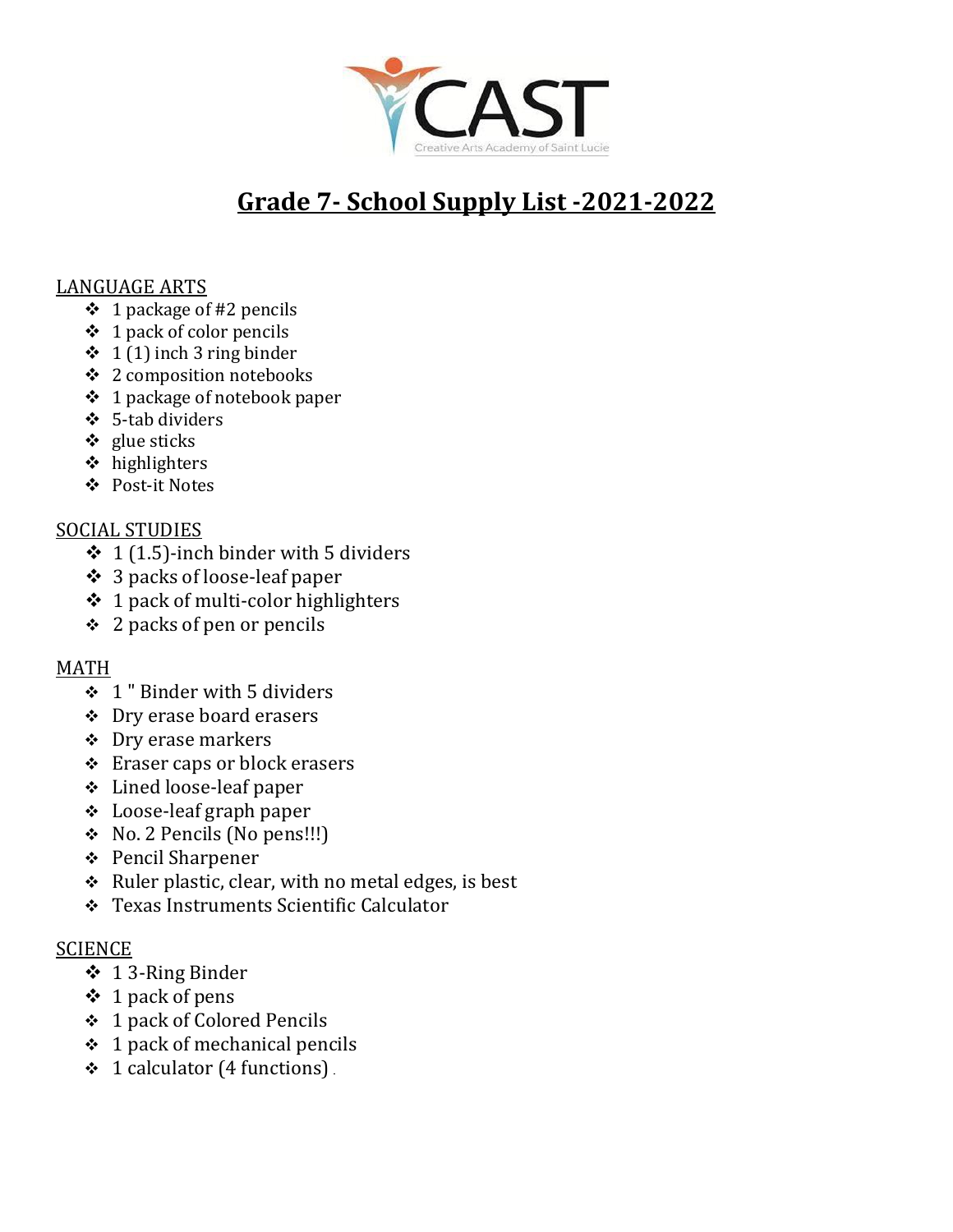

## **Grade 7- School Supply List -2021-2022**

#### LANGUAGE ARTS

- $\div$  1 package of #2 pencils
- $\div$  1 pack of color pencils
- $\div$  1 (1) inch 3 ring binder
- ❖ 2 composition notebooks
- ❖ 1 package of notebook paper
- ❖ 5-tab dividers
- ❖ glue sticks
- ❖ highlighters
- ❖ Post-it Notes

#### SOCIAL STUDIES

- $\div$  1 (1.5)-inch binder with 5 dividers
- ❖ 3 packs of loose-leaf paper
- $\div$  1 pack of multi-color highlighters
- $\div$  2 packs of pen or pencils

#### MATH

- $\div$  1" Binder with 5 dividers
- ❖ Dry erase board erasers
- ❖ Dry erase markers
- ❖ Eraser caps or block erasers
- ❖ Lined loose-leaf paper
- ❖ Loose-leaf graph paper
- ❖ No. 2 Pencils (No pens!!!)
- ❖ Pencil Sharpener
- $\triangleleft$  Ruler plastic, clear, with no metal edges, is best
- ❖ Texas Instruments Scientific Calculator

#### **SCIENCE**

- ❖ 1 3-Ring Binder
- ❖ 1 pack of pens
- ❖ 1 pack of Colored Pencils
- $\div$  1 pack of mechanical pencils
- ❖ 1 calculator (4 functions)